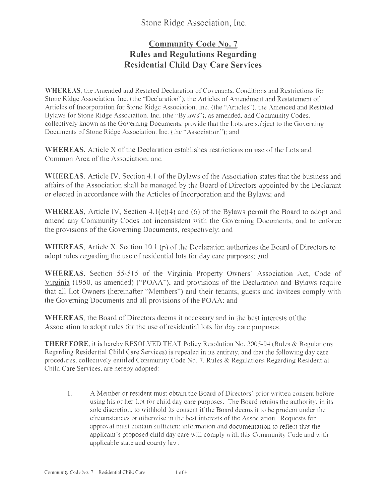## Stone Ridge Association, Inc.

## **Community Code No. 7 Rules and Regulations Regarding Residential Child Day Care Services**

**WHEREAS,** the Amended and Restated Declaration of Covenants, Conditions and Restrictions for Stone Ridge Association, Inc. (the ·'Declaration''), the Articles of Amendment and Restatement of Articles of Incorporation for Stone Ridge Association, Inc. (the "Articles"), the Amended and Restated Bylaws for Stone Ridge Association, Inc. (the "Bylaws"), as amended, and Community Codes, collectively known as the Governing Documents, provide that the Lots are subject to the Governing Documents of Stone Ridge Association, Inc. (the "Association"): and

**WHEREAS,** Article X of the Declaration establishes restrictions on use of the Lots and Common Area of the Association; and

**WHEREAS,** Article IV, Section 4.1 of the Bylaws of the Association states that the business and affairs of the Association shall be managed by the Board of Directors appointed by the Declarant or elected in accordance with the Articles of Incorporation and the Bylaws; and

**WHEREAS,** Article IV, Section 4.1(c)(4) and (6) of the Bylaws permit the Board to adopt and amend any Community Codes not inconsistent with the Governing Documents, and to enforce the provisions of the Governing Documents, respectively; and

**WHEREAS,** Article X, Section 10.1 (p) of the Declaration authorizes the Board of Directors to adopt rules regarding the use of residential lots for day care purposes; and

WHEREAS, Section 55-515 of the Virginia Property Owners' Association Act, Code of Virginia ( 1950, as amended) ("POAA"), and provisions of the Declaration and Bylaws require that all Lot Owners (hereinafter "Members") and their tenants, guests and invitees comply with the Governing Documents and all provisions of the POAA; and

**WHEREAS,** the Board of Directors deems it necessary and in the best interests of the Association to adopt rules for the use of residential lots for day care purposes.

THEREFORE, it is hereby RESOLVED THAT Policy Resolution No. 2005-04 (Rules & Regulations Regarding Residential Child Care Services) is repealed in its entirety, and that the following day care procedures, collectively entitled Community Code No. 7, Rules & Regulations Regarding Residential Child Care Services, are hereby adopted:

I. A Member or resident must obtain the Board of Directors' prior written consent before using his or her Lot for child day care purposes. The Board retains the authority, in its sole discretion, to withhold its consent if the Board deems it to be prudent under the circumstances or otherwise in the best interests of the Association. Requests for approval must contain sufficient infonnation and documentation to reflect that the applicant's proposed child day care will comply with this Community Code and with applicable state and county law.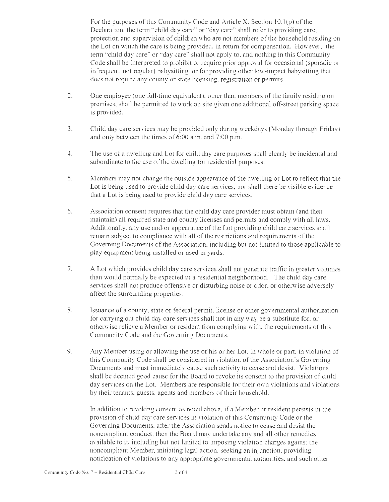For the purposes of this Community Code and Article X, Section  $10.1(p)$  of the Declaration, the term "child day care" or "day care" shall refer to providing care, protection and supervision of children who are not members of the household residing on the Lot on which the care is being provided, in retum for compensation. However, the term "child day care" or "day care" shall not apply to, and nothing in this Community Code shall be interpreted to prohibit or require prior approval for occasional (sporadic or infrequent, not regular) babysitting, or for providing other low-impact babysitting that does not require any county or state licensing, registration or permits.

- 2. One employee (one full-time equivalent), other than members of the family residing on premises, shall be permitted to work on site given one additional off-street parking space is provided.
- 3. Child day care services may be provided only during weekdays (Monday through Friday) and only between the times of 6:00 a.m. and 7:00 p.m.
- 4. The use of a dwelling and Lot for child day care purposes shall clearly be incidental and subordinate to the use of the dwelling for residential purposes.
- 5. Members may not change the outside appearance of the dwelling or Lot to reflect that the Lot is being used to provide child day care services, nor shall there be visible evidence that a Lot is being used to provide child day care services.
- 6. Association consent requires that the child day care provider must obtain (and then maintain) all required state and county licenses and permits and comply with all laws. Additionally, any use and or appearance of the Lot providing child care services shall remain subject to compliance with all of the restrictions and requirements of the Governing Documents of the Association, including but not limited to those applicable to play equipment being installed or used in yards.
- 7. A Lot which provides child day care services shall not generate traffic in greater volumes than would normally be expected in a residential neighborhood. The child day care services shall not produce offensive or disturbing noise or odor, or otherwise adversely affect the surrounding properties.
- 8. Issuance of a county, state or federal permit. license or other governmental authorization for carrying out child day care services shall not in any way be a substitute for, or othenvise relieve a Member or resident from complying with, the requirements of this Community Code and the Governing Documents.
- 9. Any Member using or allowing the use of his or her Lot, in whole or part, in violation of this Community Code shall be considered in violation of the Association's Governing Documents and must immediately cause such activity to cease and desist. Violations shall be deemed good cause for the Board to revoke its consent to the provision of child day services on the Lot. Members are responsible for their own violations and violations by their tenants, guests. agents and members of their household.

In addition to revoking consent as noted above, if a Member or resident persists in the provision of child day care services in violation of this Community Code or the Governing Documents, after the Association sends notice to cease and desist the noncompliant conduct, then the Board may undertake any and all other remedies available to it, including but not limited to imposing violation charges against the noncompliant Member, initiating legal action, seeking an injunction, providing notification of violations to any appropriate governmental authorities, and such other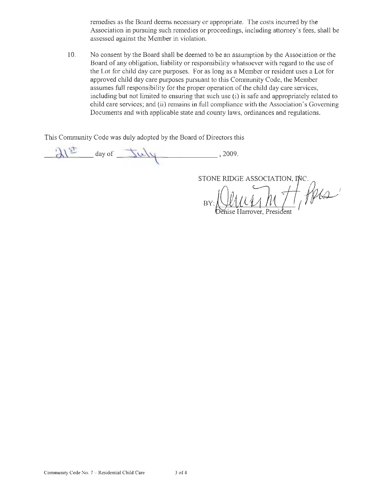remedies as the Board deems necessary or appropriate. The costs incurred by the Association in pursuing such remedies or proceedings, including attorney's fees, shall be assessed against the Member in violation.

I 0. No consent by the Board shall be deemed to be an assumption by the Association or the Board of any obligation, liability or responsibility whatsoever with regard to the use of the Lot for child day care purposes. For as long as a Member or resident uses a Lot for approved child day care purposes pursuant to this Community Code, the Member assumes full responsibility for the proper operation of the child day care services, including but not limited to ensuring that such use (i) is safe and appropriately related to child care services; and (ii) remains in full compliance with the Association's Governing Documents and with applicable state and county laws, ordinances and regulations.

This Community Code was duly adopted by the Board of Directors this

 $\lambda^2$  day of  $\overline{\Delta}u$  , 2009.  $\overline{\phantom{0}}$ 

STONE RIDGE ASSOCIATION, INC

Recent  $B'$ nise Harrover. President

Community Code No. 7 - Residential Child Care 3 of 4